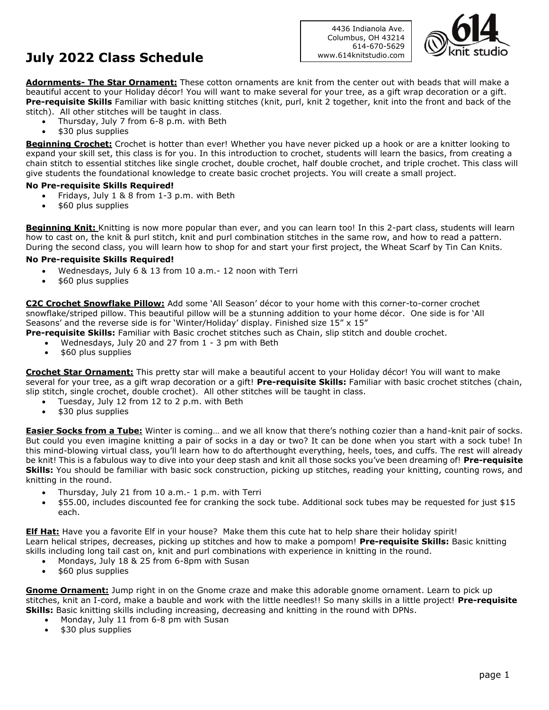# **July 2022 Class Schedule**

4436 Indianola Ave. Columbus, OH 43214 614-670-5629 www.614knitstudio.com



**Adornments- The Star Ornament:** These cotton ornaments are knit from the center out with beads that will make a beautiful accent to your Holiday décor! You will want to make several for your tree, as a gift wrap decoration or a gift. **Pre-requisite Skills** Familiar with basic knitting stitches (knit, purl, knit 2 together, knit into the front and back of the stitch). All other stitches will be taught in class.

- Thursday, July 7 from 6-8 p.m. with Beth
- \$30 plus supplies

**Beginning Crochet:** Crochet is hotter than ever! Whether you have never picked up a hook or are a knitter looking to expand your skill set, this class is for you. In this introduction to crochet, students will learn the basics, from creating a chain stitch to essential stitches like single crochet, double crochet, half double crochet, and triple crochet. This class will give students the foundational knowledge to create basic crochet projects. You will create a small project.

#### **No Pre-requisite Skills Required!**

- Fridays, July 1 & 8 from 1-3 p.m. with Beth
- \$60 plus supplies

**Beginning Knit:** Knitting is now more popular than ever, and you can learn too! In this 2-part class, students will learn how to cast on, the knit & purl stitch, knit and purl combination stitches in the same row, and how to read a pattern. During the second class, you will learn how to shop for and start your first project, the Wheat Scarf by Tin Can Knits.

#### **No Pre-requisite Skills Required!**

- Wednesdays, July 6 & 13 from 10 a.m.- 12 noon with Terri
- \$60 plus supplies

**C2C Crochet Snowflake Pillow:** Add some 'All Season' décor to your home with this corner-to-corner crochet snowflake/striped pillow. This beautiful pillow will be a stunning addition to your home décor. One side is for 'All Seasons' and the reverse side is for 'Winter/Holiday' display. Finished size 15" x 15"

**Pre-requisite Skills:** Familiar with Basic crochet stitches such as Chain, slip stitch and double crochet.

- Wednesdays, July 20 and 27 from 1 3 pm with Beth
- \$60 plus supplies

**Crochet Star Ornament:** This pretty star will make a beautiful accent to your Holiday décor! You will want to make several for your tree, as a gift wrap decoration or a gift! **Pre-requisite Skills:** Familiar with basic crochet stitches (chain, slip stitch, single crochet, double crochet). All other stitches will be taught in class.

- Tuesday, July 12 from 12 to 2 p.m. with Beth
- \$30 plus supplies

**Easier Socks from a Tube:** Winter is coming… and we all know that there's nothing cozier than a hand-knit pair of socks. But could you even imagine knitting a pair of socks in a day or two? It can be done when you start with a sock tube! In this mind-blowing virtual class, you'll learn how to do afterthought everything, heels, toes, and cuffs. The rest will already be knit! This is a fabulous way to dive into your deep stash and knit all those socks you've been dreaming of! **Pre-requisite Skills:** You should be familiar with basic sock construction, picking up stitches, reading your knitting, counting rows, and knitting in the round.

- Thursday, July 21 from 10 a.m.- 1 p.m. with Terri
- \$55.00, includes discounted fee for cranking the sock tube. Additional sock tubes may be requested for just \$15 each.

**Elf Hat:** Have you a favorite Elf in your house? Make them this cute hat to help share their holiday spirit! Learn helical stripes, decreases, picking up stitches and how to make a pompom! **Pre-requisite Skills:** Basic knitting skills including long tail cast on, knit and purl combinations with experience in knitting in the round.

- Mondays, July 18 & 25 from 6-8pm with Susan
- \$60 plus supplies

**Gnome Ornament:** Jump right in on the Gnome craze and make this adorable gnome ornament. Learn to pick up stitches, knit an I-cord, make a bauble and work with the little needles!! So many skills in a little project! **Pre-requisite Skills:** Basic knitting skills including increasing, decreasing and knitting in the round with DPNs.

- Monday, July 11 from 6-8 pm with Susan
- \$30 plus supplies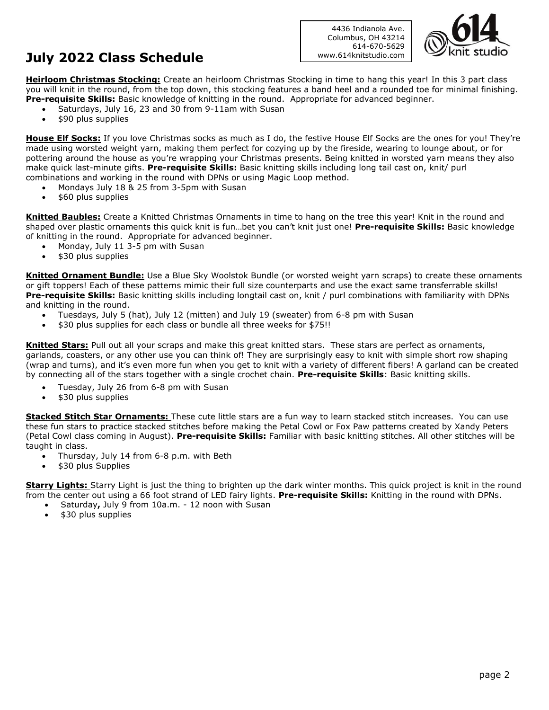# **July 2022 Class Schedule**

4436 Indianola Ave. Columbus, OH 43214 614-670-5629 www.614knitstudio.com



**Heirloom Christmas Stocking:** Create an heirloom Christmas Stocking in time to hang this year! In this 3 part class you will knit in the round, from the top down, this stocking features a band heel and a rounded toe for minimal finishing. **Pre-requisite Skills:** Basic knowledge of knitting in the round. Appropriate for advanced beginner.

- Saturdays, July 16, 23 and 30 from 9-11am with Susan
- \$90 plus supplies

**House Elf Socks:** If you love Christmas socks as much as I do, the festive House Elf Socks are the ones for you! They're made using worsted weight yarn, making them perfect for cozying up by the fireside, wearing to lounge about, or for pottering around the house as you're wrapping your Christmas presents. Being knitted in worsted yarn means they also make quick last-minute gifts. **Pre-requisite Skills:** Basic knitting skills including long tail cast on, knit/ purl combinations and working in the round with DPNs or using Magic Loop method.

- Mondays July 18 & 25 from 3-5pm with Susan
- \$60 plus supplies

**Knitted Baubles:** Create a Knitted Christmas Ornaments in time to hang on the tree this year! Knit in the round and shaped over plastic ornaments this quick knit is fun…bet you can't knit just one! **Pre-requisite Skills:** Basic knowledge of knitting in the round. Appropriate for advanced beginner.

- Monday, July 11 3-5 pm with Susan
- \$30 plus supplies

**Knitted Ornament Bundle:** Use a Blue Sky Woolstok Bundle (or worsted weight yarn scraps) to create these ornaments or gift toppers! Each of these patterns mimic their full size counterparts and use the exact same transferrable skills! **Pre-requisite Skills:** Basic knitting skills including longtail cast on, knit / purl combinations with familiarity with DPNs and knitting in the round.

- Tuesdays, July 5 (hat), July 12 (mitten) and July 19 (sweater) from 6-8 pm with Susan
- \$30 plus supplies for each class or bundle all three weeks for \$75!!

**Knitted Stars:** Pull out all your scraps and make this great knitted stars. These stars are perfect as ornaments, garlands, coasters, or any other use you can think of! They are surprisingly easy to knit with simple short row shaping (wrap and turns), and it's even more fun when you get to knit with a variety of different fibers! A garland can be created by connecting all of the stars together with a single crochet chain. **Pre-requisite Skills**: Basic knitting skills.

- Tuesday, July 26 from 6-8 pm with Susan
- \$30 plus supplies

**Stacked Stitch Star Ornaments:** These cute little stars are a fun way to learn stacked stitch increases. You can use these fun stars to practice stacked stitches before making the Petal Cowl or Fox Paw patterns created by Xandy Peters (Petal Cowl class coming in August). **Pre-requisite Skills:** Familiar with basic knitting stitches. All other stitches will be taught in class.

- Thursday, July 14 from 6-8 p.m. with Beth
- \$30 plus Supplies

**Starry Lights:** Starry Light is just the thing to brighten up the dark winter months. This quick project is knit in the round from the center out using a 66 foot strand of LED fairy lights. **Pre-requisite Skills:** Knitting in the round with DPNs.

- Saturday**,** July 9 from 10a.m. 12 noon with Susan
- \$30 plus supplies